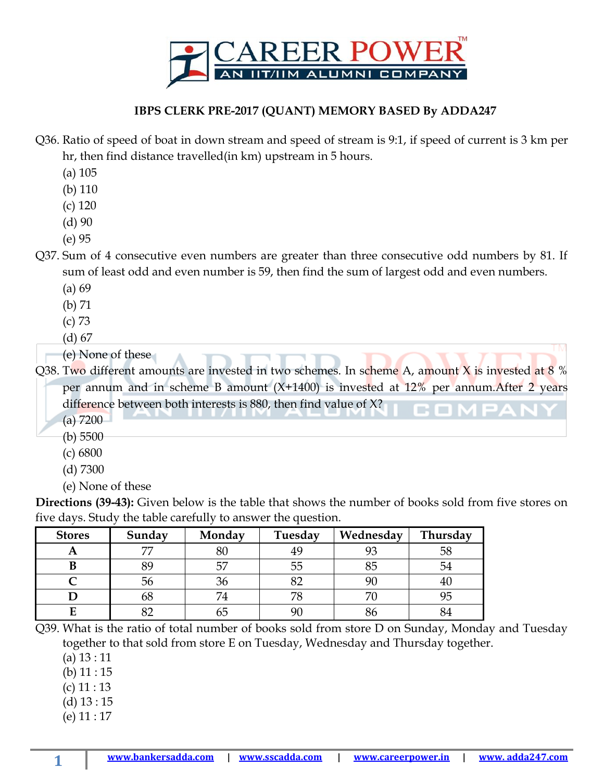

## **IBPS CLERK PRE-2017 (QUANT) MEMORY BASED By ADDA247**

- Q36. Ratio of speed of boat in down stream and speed of stream is 9:1, if speed of current is 3 km per hr, then find distance travelled(in km) upstream in 5 hours.
	- (a) 105
	- (b) 110
	- (c) 120
	- (d) 90
	- (e) 95
- Q37. Sum of 4 consecutive even numbers are greater than three consecutive odd numbers by 81. If sum of least odd and even number is 59, then find the sum of largest odd and even numbers.
	- (a) 69
	- (b) 71
	- (c) 73
	- (d) 67
	- (e) None of these

Q38. Two different amounts are invested in two schemes. In scheme A, amount X is invested at 8 % per annum and in scheme B amount (X+1400) is invested at 12% per annum.After 2 years difference between both interests is 880, then find value of X? --

- (a) 7200
- (b) 5500
- (c) 6800
- (d) 7300
- (e) None of these

**Directions (39-43):** Given below is the table that shows the number of books sold from five stores on five days. Study the table carefully to answer the question.

| <b>Stores</b> | Sunday | Monday | Tuesday | Wednesday | Thursday |
|---------------|--------|--------|---------|-----------|----------|
| A             |        | 80     | 49      |           | 58       |
| В             | 89     | 57     | 55      | 85        | 54       |
|               | 56     | 36     |         |           |          |
|               | 68     | 74     | 79      |           |          |
| F             |        | OΣ     |         |           |          |

Q39. What is the ratio of total number of books sold from store D on Sunday, Monday and Tuesday together to that sold from store E on Tuesday, Wednesday and Thursday together.

- (a) 13 : 11
- (b) 11 : 15
- (c) 11 : 13
- (d) 13 : 15
- (e) 11 : 17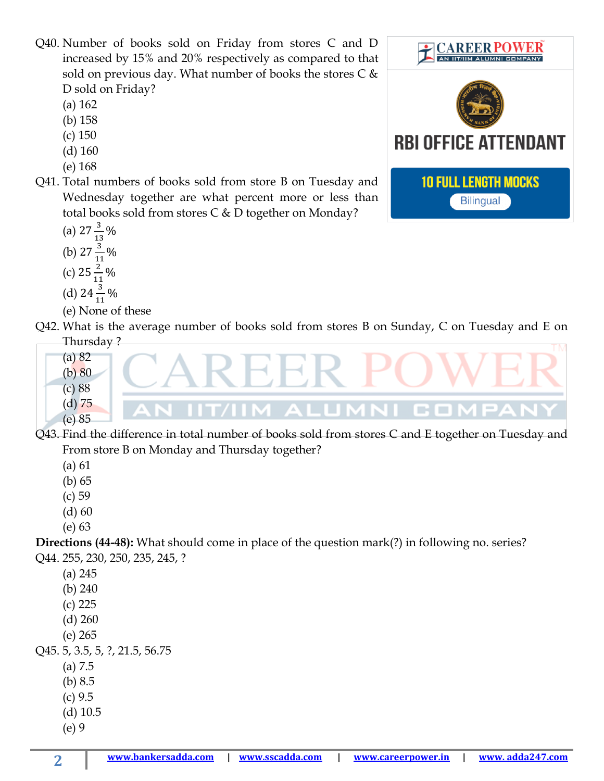Q40. Number of books sold on Friday from stores C and D increased by 15% and 20% respectively as compared to that sold on previous day. What number of books the stores  $C \&$ D sold on Friday?

- (a) 162
- (b) 158
- (c) 150
- (d) 160
- (e) 168
- Q41. Total numbers of books sold from store B on Tuesday and Wednesday together are what percent more or less than total books sold from stores C & D together on Monday?
	- (a)  $27\frac{3}{13}\%$
	- (b)  $27\frac{3}{11}$  $-9/0$
	- (c)  $25\frac{2}{11}$ %
	-
	- (d)  $24\frac{3}{11}\%$
	- (e) None of these
- Q42. What is the average number of books sold from stores B on Sunday, C on Tuesday and E on Thursday ?
	- (a) 82  $(b) 80$ (c) 88 (d) 75 **CO** m. (e) 85
- Q43. Find the difference in total number of books sold from stores C and E together on Tuesday and From store B on Monday and Thursday together?
	- (a) 61
	- (b) 65
	- (c) 59
	- $(d)$  60
	- (e) 63

**Directions (44-48):** What should come in place of the question mark(?) in following no. series? Q44. 255, 230, 250, 235, 245, ?

- (a) 245
- (b) 240
- (c) 225
- (d) 260
- (e) 265

Q45. 5, 3.5, 5, ?, 21.5, 56.75

- (a) 7.5
- (b) 8.5
- (c) 9.5
- (d) 10.5
- (e) 9

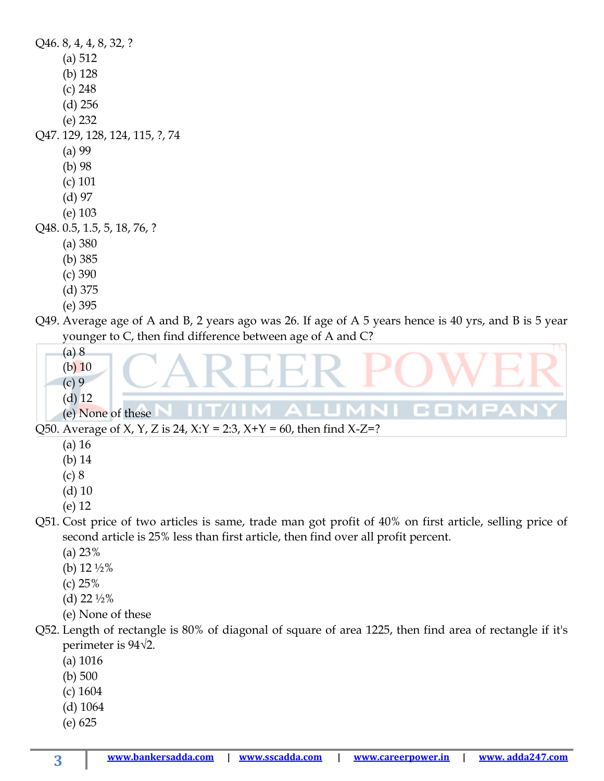Q46. 8, 4, 4, 8, 32, ? (a) 512 (b) 128 (c) 248 (d) 256 (e) 232 Q47. 129, 128, 124, 115, ?, 74 (a) 99 (b) 98 (c) 101 (d) 97 (e) 103 Q48. 0.5, 1.5, 5, 18, 76, ? (a) 380 (b) 385 (c) 390 (d) 375 (e) 395 Q49. Average age of A and B, 2 years ago was 26. If age of A 5 years hence is 40 yrs, and B is 5 year younger to C, then find difference between age of A and C? (a) 8 (b) 10 (c) 9

(d) 12 (e) None of these

Q50. Average of X, Y, Z is 24, X:Y = 2:3, X+Y = 60, then find X-Z=?

- (a) 16
- (b) 14
- (c) 8
- (d) 10
- (e) 12
- Q51. Cost price of two articles is same, trade man got profit of 40% on first article, selling price of second article is 25% less than first article, then find over all profit percent.

m. 

- (a) 23%
- (b)  $12\frac{1}{2}\%$
- (c) 25%
- (d)  $22\frac{1}{2}\%$
- (e) None of these
- Q52. Length of rectangle is 80% of diagonal of square of area 1225, then find area of rectangle if it's perimeter is 94√2.
	- (a) 1016
	- (b) 500
	- (c) 1604
	- (d) 1064
	- (e) 625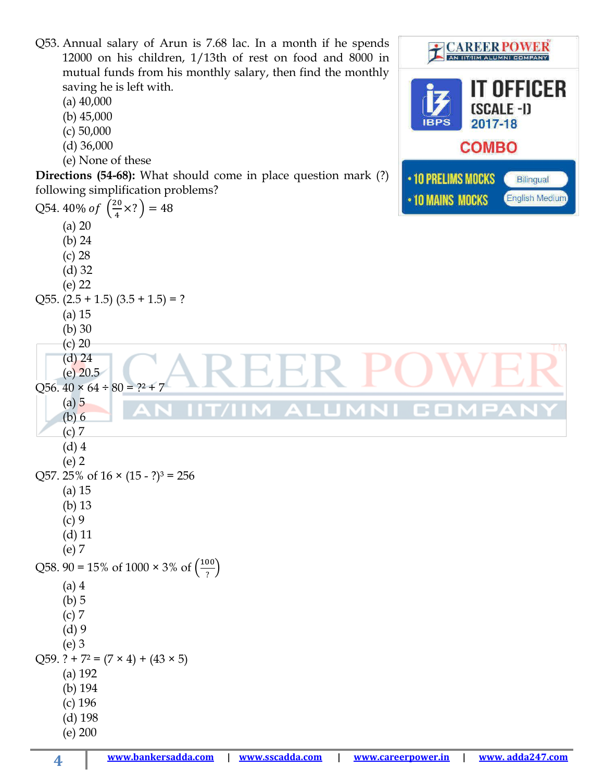Q53. Annual salary of Arun is 7.68 lac. In a month if he spends **CAREER POWER** 12000 on his children, 1/13th of rest on food and 8000 in AN IIT/IIM ALUMNI COMPANY mutual funds from his monthly salary, then find the monthly **IT OFFICER** saving he is left with. (a) 40,000 [SCALE-I] (b) 45,000 2017-18 (c) 50,000 **COMBO** (d) 36,000 (e) None of these **Directions (54-68):** What should come in place question mark (?) • 10 PRELIMS MOCKS Bilingual following simplification problems? • 10 MAINS MOCKS **English Medium** Q54. 40% of  $\left(\frac{20}{4}\right)$  $\frac{20}{4} \times ?$  = 48 (a) 20 (b) 24 (c) 28 (d) 32 (e) 22 Q55.  $(2.5 + 1.5)$   $(3.5 + 1.5) = ?$ (a) 15 (b) 30 (c) 20 (d) 24 EH  $(e)$  20.5 Q56.  $40 \times 64 \div 80 = ?^2 + 7$ (a) 5 ALUM 1 C O (b) 6 (c) 7 (d) 4 (e) 2 Q57. 25% of  $16 \times (15 - ?)^3 = 256$ (a) 15 (b) 13 (c) 9 (d) 11 (e) 7 Q58. 90 = 15% of 1000  $\times$  3% of  $\left(\frac{100}{2}\right)$  $\frac{00}{?}$ (a) 4 (b) 5 (c) 7 (d) 9 (e) 3 Q59. ? +  $7^2$  =  $(7 \times 4)$  +  $(43 \times 5)$ (a) 192 (b) 194 (c) 196 (d) 198 (e) 200

**4**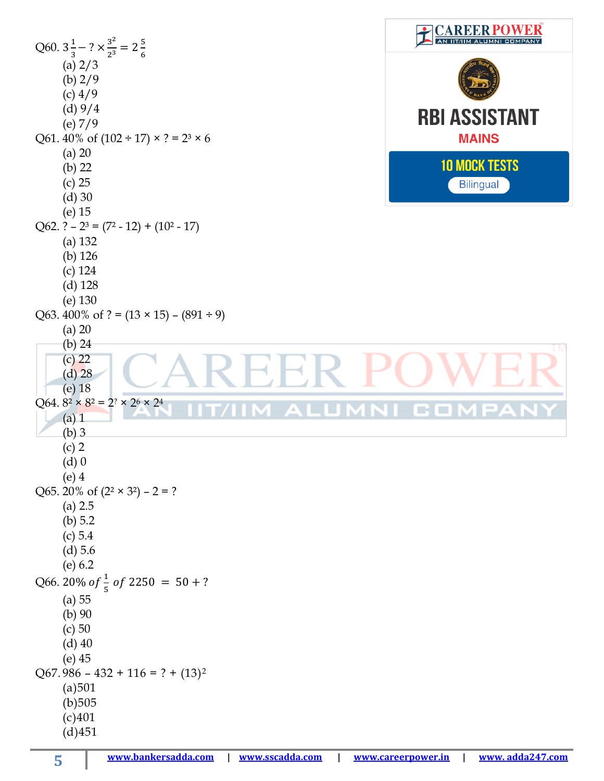| Q60. $3\frac{1}{3}$ – ? $\times \frac{3^2}{2^3}$ = 2 $\frac{5}{6}$ | <b>CAREER PO</b>     |
|--------------------------------------------------------------------|----------------------|
| (a) $2/3$                                                          |                      |
| (b) $2/9$                                                          |                      |
| $(c)$ 4/9                                                          |                      |
| (d) 9/4                                                            | <b>RBI ASSISTANT</b> |
| (e) $7/9$                                                          |                      |
| Q61. 40% of $(102 \div 17) \times ? = 2^3 \times 6$                | <b>MAINS</b>         |
| $(a)$ 20                                                           | <b>10 MOCK TESTS</b> |
| (b) $22$                                                           |                      |
| $(c)$ 25<br>$(d)$ 30                                               | <b>Bilingual</b>     |
| $(e)$ 15                                                           |                      |
| Q62. $? - 2^3 = (7^2 - 12) + (10^2 - 17)$                          |                      |
| $(a)$ 132                                                          |                      |
| $(b)$ 126                                                          |                      |
| $(c)$ 124                                                          |                      |
| $(d)$ 128                                                          |                      |
| (e) 130                                                            |                      |
| Q63. 400% of ? = $(13 \times 15)$ – $(891 \div 9)$                 |                      |
| $(a)$ 20                                                           |                      |
| (b) 24<br>$(c)$ 22                                                 | TM.                  |
| $(d)$ 28                                                           |                      |
| $(e)$ 18                                                           |                      |
| Q64. $8^2 \times 8^2 = 2^2 \times 2^6 \times 2^4$                  |                      |
| $(a)$ 1                                                            |                      |
| $(b)$ 3                                                            |                      |
| $(c)$ 2                                                            |                      |
| $(d)$ 0                                                            |                      |
| $(e)$ 4<br>Q65. 20% of $(2^2 \times 3^2) - 2 = ?$                  |                      |
| (a) 2.5                                                            |                      |
| (b) $5.2$                                                          |                      |
| (c) 5.4                                                            |                      |
| $(d)$ 5.6                                                          |                      |
| (e) 6.2                                                            |                      |
| Q66. 20% of $\frac{1}{5}$ of 2250 = 50 + ?                         |                      |
| (a) 55                                                             |                      |
| (b) 90                                                             |                      |
| (c) 50                                                             |                      |
| $(d)$ 40                                                           |                      |
|                                                                    |                      |
| $(e)$ 45                                                           |                      |
| $Q67.986 - 432 + 116 = ? + (13)^2$                                 |                      |
| (a)501                                                             |                      |
| (b)505<br>(c)401                                                   |                      |

Г